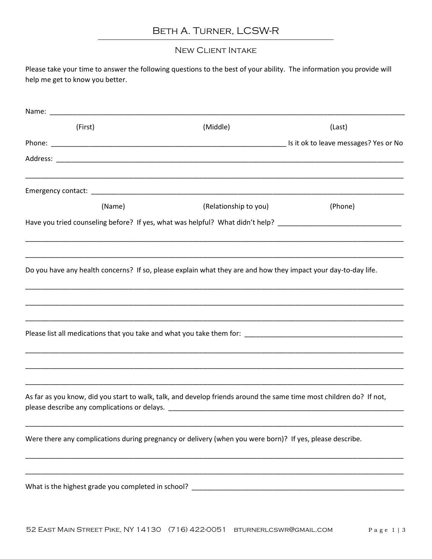### Beth A. Turner, LCSW-R

#### New Client Intake

Please take your time to answer the following questions to the best of your ability. The information you provide will help me get to know you better.

| (First) | (Middle)                                                                                                            | (Last)  |
|---------|---------------------------------------------------------------------------------------------------------------------|---------|
|         |                                                                                                                     |         |
|         |                                                                                                                     |         |
|         |                                                                                                                     |         |
| (Name)  | (Relationship to you)                                                                                               | (Phone) |
|         | Have you tried counseling before? If yes, what was helpful? What didn't help? ________________________________      |         |
|         | Do you have any health concerns? If so, please explain what they are and how they impact your day-to-day life.      |         |
|         |                                                                                                                     |         |
|         |                                                                                                                     |         |
|         | As far as you know, did you start to walk, talk, and develop friends around the same time most children do? If not, |         |
|         | Were there any complications during pregnancy or delivery (when you were born)? If yes, please describe.            |         |
|         |                                                                                                                     |         |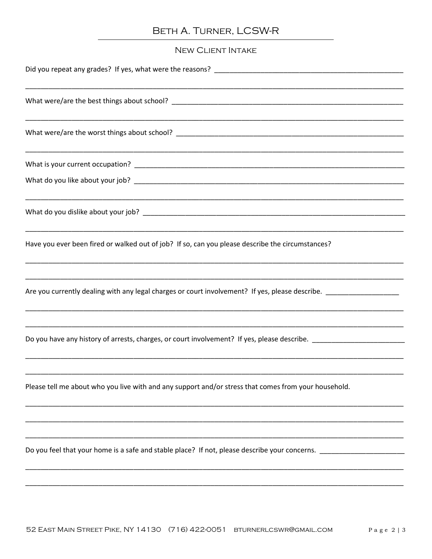# BETH A. TURNER, LCSW-R

### **NEW CLIENT INTAKE**

| Have you ever been fired or walked out of job? If so, can you please describe the circumstances?               |  |  |
|----------------------------------------------------------------------------------------------------------------|--|--|
| Are you currently dealing with any legal charges or court involvement? If yes, please describe. ______________ |  |  |
| Do you have any history of arrests, charges, or court involvement? If yes, please describe.                    |  |  |
| Please tell me about who you live with and any support and/or stress that comes from your household.           |  |  |
| Do you feel that your home is a safe and stable place? If not, please describe your concerns. ________________ |  |  |